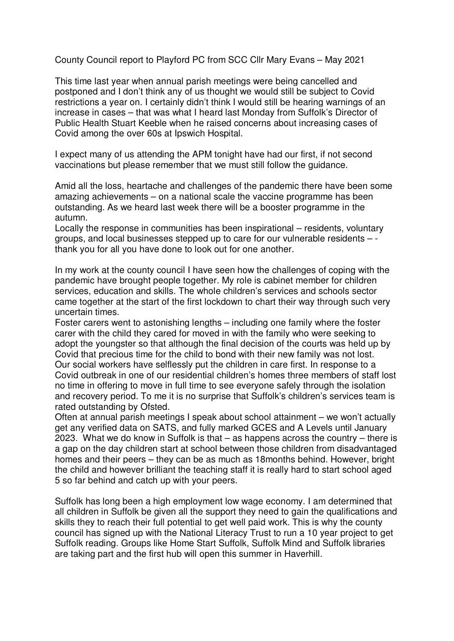County Council report to Playford PC from SCC Cllr Mary Evans – May 2021

This time last year when annual parish meetings were being cancelled and postponed and I don't think any of us thought we would still be subject to Covid restrictions a year on. I certainly didn't think I would still be hearing warnings of an increase in cases – that was what I heard last Monday from Suffolk's Director of Public Health Stuart Keeble when he raised concerns about increasing cases of Covid among the over 60s at Ipswich Hospital.

I expect many of us attending the APM tonight have had our first, if not second vaccinations but please remember that we must still follow the guidance.

Amid all the loss, heartache and challenges of the pandemic there have been some amazing achievements – on a national scale the vaccine programme has been outstanding. As we heard last week there will be a booster programme in the autumn.

Locally the response in communities has been inspirational – residents, voluntary groups, and local businesses stepped up to care for our vulnerable residents – thank you for all you have done to look out for one another.

In my work at the county council I have seen how the challenges of coping with the pandemic have brought people together. My role is cabinet member for children services, education and skills. The whole children's services and schools sector came together at the start of the first lockdown to chart their way through such very uncertain times.

Foster carers went to astonishing lengths – including one family where the foster carer with the child they cared for moved in with the family who were seeking to adopt the youngster so that although the final decision of the courts was held up by Covid that precious time for the child to bond with their new family was not lost. Our social workers have selflessly put the children in care first. In response to a Covid outbreak in one of our residential children's homes three members of staff lost no time in offering to move in full time to see everyone safely through the isolation and recovery period. To me it is no surprise that Suffolk's children's services team is rated outstanding by Ofsted.

Often at annual parish meetings I speak about school attainment – we won't actually get any verified data on SATS, and fully marked GCES and A Levels until January 2023. What we do know in Suffolk is that – as happens across the country – there is a gap on the day children start at school between those children from disadvantaged homes and their peers – they can be as much as 18months behind. However, bright the child and however brilliant the teaching staff it is really hard to start school aged 5 so far behind and catch up with your peers.

Suffolk has long been a high employment low wage economy. I am determined that all children in Suffolk be given all the support they need to gain the qualifications and skills they to reach their full potential to get well paid work. This is why the county council has signed up with the National Literacy Trust to run a 10 year project to get Suffolk reading. Groups like Home Start Suffolk, Suffolk Mind and Suffolk libraries are taking part and the first hub will open this summer in Haverhill.